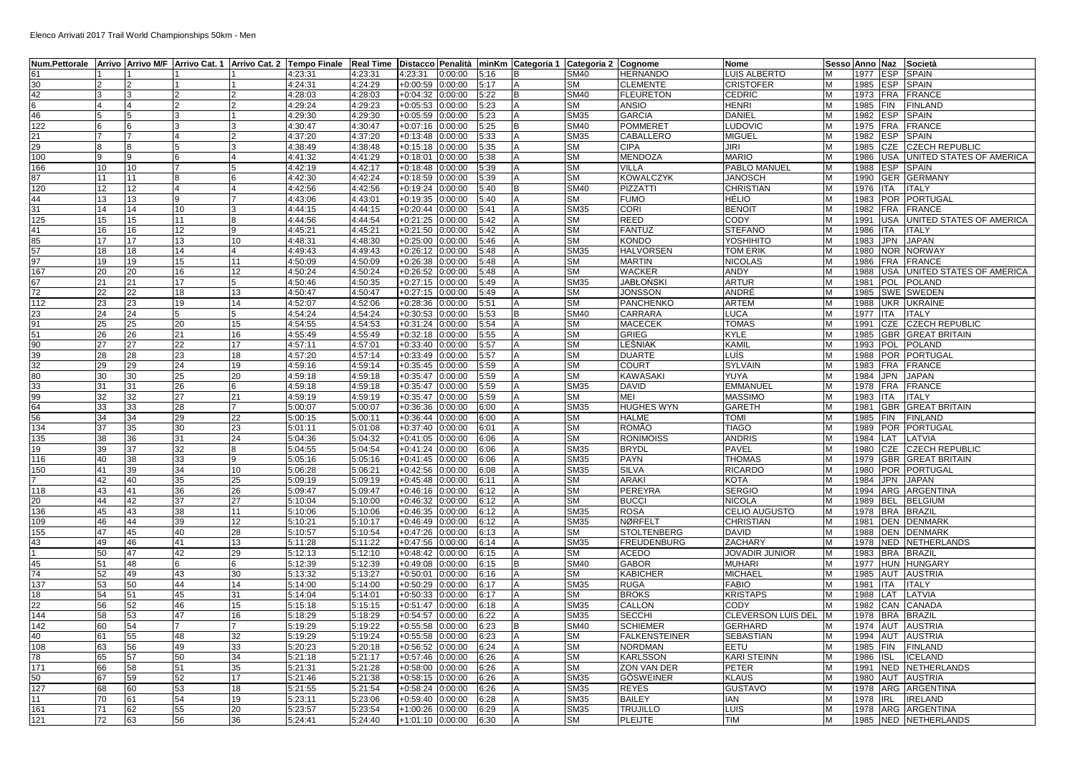| Num.Pettorale  Arrivo  Arrivo M/F  Arrivo Cat. 1  Arrivo Cat. 2  Tempo Finale  Real Time  Distacco  Penalità  minKm  Categoria 1  Categoria 2  Cognome |    |          |    |    |         |         |                    |         |      |   |                        |                                | <b>Nome</b>               |        | Sesso Anno Naz Società |                                   |
|--------------------------------------------------------------------------------------------------------------------------------------------------------|----|----------|----|----|---------|---------|--------------------|---------|------|---|------------------------|--------------------------------|---------------------------|--------|------------------------|-----------------------------------|
| 61                                                                                                                                                     |    |          |    |    | 4:23:31 | 4:23:31 | 4:23:31            | 0:00:00 | 5:16 | В | SM40                   | <b>HERNANDO</b>                | LUIS ALBERTO              |        | 1977 ESP SPAIN         |                                   |
| 30                                                                                                                                                     |    |          |    |    | 4:24:31 | 4:24:29 | $+0:00:59$         | 0:00:00 | 5:17 |   | $\overline{\text{SM}}$ | <b>CLEMENTE</b>                | <b>CRISTOFER</b>          | M      | 1985 ESP SPAIN         |                                   |
| 42                                                                                                                                                     |    |          |    |    | 4:28:03 | 4:28:03 | $+0:04:32$         | 0:00:00 | 5:22 | B | SM40                   | <b>FLEURETON</b>               | <b>CEDRIC</b>             | M      | 1973 FRA FRANCE        |                                   |
| 6                                                                                                                                                      |    |          |    |    | 4:29:24 | 4:29:23 | $+0:05:53$         | 0:00:00 | 5:23 |   | SМ                     | <b>ANSIO</b>                   | <b>HENRI</b>              | M      | 1985 FIN               | <b>FINLAND</b>                    |
| 46                                                                                                                                                     |    |          |    |    | 4:29:30 | 4:29:30 | +0:05:59           | 0:00:00 | 5:23 |   | SM35                   | <b>GARCIA</b>                  | <b>DANIEL</b>             | M      | 1982 ESP SPAIN         |                                   |
| 122                                                                                                                                                    |    |          |    |    | 4:30:47 | 4:30:47 | +0:07:16           | 0:00:00 | 5:25 |   | SM40                   | <b>POMMERET</b>                | LUDOVIC                   |        | 1975 FRA FRANCE        |                                   |
| 21                                                                                                                                                     |    |          |    |    | 4:37:20 | 4:37:20 | $+0:13:48$         | 0:00:00 | 5:33 |   | <b>SM35</b>            | CABALLERO                      | <b>MIGUEL</b>             | M      | 1982 ESP SPAIN         |                                   |
| 29                                                                                                                                                     |    |          |    |    | 4:38:49 | 4:38:48 | $+0:15:18$         | 0:00:00 | 5:35 |   | SM                     | <b>CIPA</b>                    | JIRI                      | M      | 1985                   | CZE CZECH REPUBLIC                |
| 100                                                                                                                                                    |    |          |    |    | 4:41:32 | 4:41:29 | $+0:18:01$         | 0:00:00 | 5:38 |   | SM                     | MENDOZA                        | <b>MARIO</b>              |        | 1986                   | USA UNITED STATES OF AMERICA      |
| 166                                                                                                                                                    | 10 | 10       |    |    | 4:42:19 | 4:42:17 | $+0:18:48$         | 0:00:00 | 5:39 |   | <b>SM</b>              | <b>VILLA</b>                   | PABLO MANUEL              | M      | 1988                   | ESP SPAIN                         |
| 87                                                                                                                                                     | 11 | 11       |    |    | 4:42:30 | 4:42:24 | $+0:18:59$         | 0:00:00 | 5:39 |   | SM                     | <b>KOWALCZYK</b>               | <b>JANOSCH</b>            | M      | 1990                   | <b>GER GERMANY</b>                |
| 120                                                                                                                                                    | 12 | 12       |    |    | 4:42:56 | 4:42:56 | $+0:19:24$         | 0:00:00 | 5:40 |   | SM40                   | <b>PIZZATTI</b>                | <b>CHRISTIAN</b>          | M      | 1976   ITA   ITALY     |                                   |
| 44                                                                                                                                                     | 13 | 13       |    |    | 4:43:06 | 4:43:01 | +0:19:35           | 0:00:00 | 5:40 |   | SM                     | <b>FUMO</b>                    | <b>HÉLIO</b>              | M      | 1983 POR PORTUGAL      |                                   |
| 31                                                                                                                                                     | 14 | 14       | 10 |    | 4:44:15 | 4:44:15 | $+0:20:44$         | 0:00:00 | 5:41 |   | SM35                   | <b>CORI</b>                    | <b>BENOIT</b>             | M      | 1982                   | FRA FRANCE                        |
| 125                                                                                                                                                    | 15 | 15       | 11 |    | 4:44:56 | 4:44:54 | $+0:21:25$         | 0:00:00 | 5:42 |   | SM                     | <b>REED</b>                    | <b>CODY</b>               | M      | 1991                   | USA UNITED STATES OF AMERICA      |
| 41                                                                                                                                                     | 16 | 16       | 12 |    | 4:45:21 | 4:45:21 | $+0:21:50$         | 0:00:00 | 5:42 |   | SM                     | <b>FANTUZ</b>                  | <b>STEFANO</b>            | M      | 1986 ITA               | <b>ITALY</b>                      |
| 85                                                                                                                                                     | 17 | 17       | 13 | 10 | 4:48:31 | 4:48:30 | $+0:25:00$         | 0:00:00 | 5:46 |   | SM                     | <b>KONDO</b>                   | YOSHIHITO                 |        | 1983                   | JPN JAPAN                         |
| 57                                                                                                                                                     |    | 18       | 14 |    | 4:49:43 | 4:49:43 | $+0:26:12$         | 0:00:00 | 5:48 |   | SM35                   | <b>HALVORSEN</b>               | <b>TOM ERIK</b>           | M      | 1980 NOR NORWAY        |                                   |
| 97                                                                                                                                                     | 18 |          |    |    |         |         |                    |         | 5:48 |   |                        |                                |                           |        |                        |                                   |
|                                                                                                                                                        | 19 | 19       | 15 | 11 | 4:50:09 | 4:50:09 | +0:26:38           | 0:00:00 |      |   | SМ                     | <b>MARTIN</b><br><b>WACKER</b> | <b>NICOLAS</b>            | M      | 1986 FRA FRANCE        |                                   |
| 167                                                                                                                                                    | 20 | 20       | 16 | 12 | 4:50:24 | 4:50:24 | +0:26:52           | 0:00:00 | 5:48 |   | SM                     |                                | ANDY                      | M      |                        | 1988 USA UNITED STATES OF AMERICA |
| 67                                                                                                                                                     | 21 | 21       | 17 | 5  | 4:50:46 | 4:50:35 | $+0:27:15$         | 0:00:00 | 5:49 |   | SM35                   | <b>JABŁOŃSKI</b>               | <b>ARTUR</b>              | M      | 1981 POL POLAND        |                                   |
| 72                                                                                                                                                     | 22 | 22       | 18 | 13 | 4:50:47 | 4:50:47 | $+0:27:15$         | 0:00:00 | 5:49 |   | SМ                     | <b>JONSSON</b>                 | ANDRÉ                     | M      | 1985 SWE SWEDEN        |                                   |
| 112                                                                                                                                                    | 23 | 23       | 19 | 14 | 4:52:07 | 4:52:06 | +0:28:36           | 0:00:00 | 5:51 |   | SM                     | <b>PANCHENKO</b>               | <b>ARTEM</b>              | м      | 1988 UKR UKRAINE       |                                   |
| 23                                                                                                                                                     | 24 | 24       |    |    | 4:54:24 | 4:54:24 | $+0:30:53$         | 0:00:00 | 5:53 |   | SM40                   | CARRARA                        | <b>LUCA</b>               | M      | 1977 ITA               | <b>ITALY</b>                      |
| 91                                                                                                                                                     | 25 | 25       | 20 | 15 | 4:54:55 | 4:54:53 | $+0:31:24$         | 0:00:00 | 5:54 |   | SМ                     | <b>MACECEK</b>                 | <b>TOMAS</b>              | M      | 1991                   | CZE CZECH REPUBLIC                |
| 51                                                                                                                                                     | 26 | 26       | 21 | 16 | 4:55:49 | 4:55:49 | $+0:32:18$         | 0:00:00 | 5:55 |   | SM                     | <b>GRIEG</b>                   | <b>KYLE</b>               | м      |                        | 1985 GBR GREAT BRITAIN            |
| 90                                                                                                                                                     | 27 | 27       | 22 | 17 | 4:57:11 | 4:57:01 | +0:33:40           | 0:00:00 | 5:57 |   | <b>SM</b>              | LEŚNIAK                        | <b>KAMIL</b>              | M      | 1993 POL POLAND        |                                   |
| 39                                                                                                                                                     | 28 | 28       | 23 | 18 | 4:57:20 | 4:57:14 | $+0:33:49$         | 0:00:00 | 5:57 |   | SM                     | <b>DUARTE</b>                  | LUÍS                      |        | 1988                   | <b>POR PORTUGAL</b>               |
| 32                                                                                                                                                     | 29 | 29       | 24 | 19 | 4:59:16 | 4:59:14 | $+0:35:45$         | 0:00:00 | 5:59 |   | SM                     | <b>COURT</b>                   | <b>SYLVAIN</b>            | M      | 1983                   | FRA FRANCE                        |
| 80                                                                                                                                                     | 30 | 30       | 25 | 20 | 4:59:18 | 4:59:18 | +0:35:47           | 0:00:00 | 5:59 |   | SM                     | <b>KAWASAKI</b>                | YUYA                      | M      | 1984 JPN JAPAN         |                                   |
| 33                                                                                                                                                     | 31 | 31       | 26 |    | 4:59:18 | 4:59:18 | $+0:35:47$         | 0:00:00 | 5:59 |   | SM35                   | <b>DAVID</b>                   | <b>EMMANUEL</b>           | M      | 1978 FRA FRANCE        |                                   |
| 99                                                                                                                                                     | 32 | 32       | 27 | 21 | 4:59:19 | 4:59:19 | $+0:35:47$         | 0:00:00 | 5:59 |   | SM                     | <b>MEI</b>                     | <b>MASSIMO</b>            | M      | 1983<br><b>ITA</b>     | <b>ITALY</b>                      |
| 64                                                                                                                                                     | 33 | 33       | 28 |    | 5:00:07 | 5:00:07 | $+0:36:36$         | 0:00:00 | 6:00 |   | SM35                   | <b>HUGHES WYN</b>              | <b>GARETH</b>             | M      | 1981                   | <b>GBR GREAT BRITAIN</b>          |
| 56                                                                                                                                                     | 34 | 34       | 29 | 22 | 5:00:15 | 5:00:11 | $+0:36:44$         | 0:00:00 | 6:00 |   | SM                     | <b>HALME</b>                   | <b>TOMI</b>               |        | 1985 FIN FINLAND       |                                   |
| 134                                                                                                                                                    | 37 | 35       | 30 | 23 | 5:01:11 | 5:01:08 | $+0:37:40$         | 0:00:00 | 6:01 |   | <b>SM</b>              | <b>ROMÃO</b>                   | <b>TIAGO</b>              | M      | 1989 POR PORTUGAL      |                                   |
| 135                                                                                                                                                    | 38 | 36       | 31 | 24 | 5:04:36 | 5:04:32 | $+0:41:05$         | 0:00:00 | 6:06 |   | SM                     | <b>RONIMOISS</b>               | <b>ANDRIS</b>             | M      | 1984                   | LAT LATVIA                        |
| 19                                                                                                                                                     | 39 | 37       | 32 |    | 5:04:55 | 5:04:54 | +0:41:24           | 0:00:00 | 6:06 |   | SM35                   | <b>BRYDL</b>                   | PAVEL                     | M      |                        | 1980 CZE CZECH REPUBLIC           |
| 116                                                                                                                                                    | 40 | 38       | 33 |    | 5:05:16 | 5:05:16 | $+0:41:45$         | 0:00:00 | 6:06 |   | SM35                   | <b>PAYN</b>                    | <b>THOMAS</b>             | M      |                        | 1979 GBR GREAT BRITAIN            |
| 150                                                                                                                                                    | 41 | 39       | 34 | 10 | 5:06:28 | 5:06:21 | $+0.42:56$         | 0:00:00 | 6:08 |   | SM35                   | <b>SILVA</b>                   | <b>RICARDO</b>            | M      | 1980                   | <b>POR PORTUGAL</b>               |
|                                                                                                                                                        | 42 | 40       | 35 | 25 | 5:09:19 | 5:09:19 | $+0:45:48$         | 0:00:00 | 6:11 |   | SM                     | <b>ARAKI</b>                   | <b>KOTA</b>               | м      | 1984                   | JPN JAPAN                         |
| 118                                                                                                                                                    | 43 | 41       | 36 | 26 | 5:09:47 | 5:09:47 | +0:46:16           | 0:00:00 | 6:12 |   | SM                     | PEREYRA                        | <b>SERGIO</b>             | M      |                        | 1994 ARG ARGENTINA                |
| 20                                                                                                                                                     | 44 | 42       | 37 | 27 | 5:10:04 | 5:10:00 | $+0:46:32$         | 0:00:00 | 6:12 |   | SМ                     | <b>BUCCI</b>                   | <b>NICOLA</b>             |        | 1989                   | BEL BELGIUM                       |
| 136                                                                                                                                                    | 45 | 43       | 38 | 11 | 5:10:06 | 5:10:06 | $+0:46:35$         | 0:00:00 | 6:12 |   | SM35                   | <b>ROSA</b>                    | CELIO AUGUSTO             | м      | 1978 BRA BRAZIL        |                                   |
| 109                                                                                                                                                    | 46 | 44       | 39 | 12 | 5:10:21 | 5:10:17 | +0:46:49           | 0:00:00 | 6:12 |   | <b>SM35</b>            | <b>NØRFELT</b>                 | <b>CHRISTIAN</b>          | м      | 1981                   | <b>DEN DENMARK</b>                |
| 155                                                                                                                                                    | 47 | 45       | 40 | 28 | 5:10:57 | 5:10:54 | +0:47:26           | 0:00:00 | 6:13 |   | SM                     | <b>STOLTENBERG</b>             | <b>DAVID</b>              |        | 1988 DEN DENMARK       |                                   |
| 43                                                                                                                                                     | 49 | 46       | 41 | 13 | 5:11:28 | 5:11:22 | $+0:47:56$         | 0:00:00 | 6:14 |   | SM35                   | <b>FREUDENBURG</b>             | ZACHARY                   | M      | 1978                   | NED NETHERLANDS                   |
|                                                                                                                                                        | 50 | 47       | 42 | 29 | 5:12:13 | 5:12:10 | $+0:48:42$         | 0:00:00 | 6:15 |   | SМ                     | <b>ACEDO</b>                   | <b>JOVADIR JUNIOR</b>     | M      | 1983                   | BRA BRAZIL                        |
| 45                                                                                                                                                     | 51 | 48       | 6  |    | 5:12:39 | 5:12:39 | +0:49:08           | 0:00:00 | 6:15 | B | SM40                   | <b>GABOR</b>                   | <b>MUHARI</b>             |        | 1977 HUN HUNGARY       |                                   |
| 74                                                                                                                                                     | 52 | 49       | 43 | 30 | 5:13:32 | 5:13:27 | $+0:50:01$         | 0:00:00 | 6:16 |   | SM                     | <b>KABICHER</b>                | <b>MICHAEL</b>            | M      | 1985 AUT AUSTRIA       |                                   |
| 137                                                                                                                                                    | 53 | 50       | 44 | 14 | 5:14:00 | 5:14:00 | $+0:50:29$         | 0:00:00 | 6:17 |   | SM35                   | <b>RUGA</b>                    | <b>FABIO</b>              | M      | 1981<br><b>ITA</b>     | <b>ITALY</b>                      |
| 18                                                                                                                                                     | 54 | 51       | 45 | 31 | 5:14:04 | 5:14:01 | $+0:50:33$         | 0:00:00 | 6:17 |   | SМ                     | <b>BROKS</b>                   | <b>KRISTAPS</b>           |        | 1988                   | LAT LATVIA                        |
| 22                                                                                                                                                     | 56 | 52       | 46 | 15 | 5:15:18 | 5:15:15 | $+0:51:47$         | 0:00:00 | 6:18 |   | SM35                   | <b>CALLON</b>                  | <b>CODY</b>               |        | 1982                   | CAN CANADA                        |
| 144                                                                                                                                                    | 58 | 53       | 47 | 16 | 5:18:29 | 5:18:29 | $+0:54:57$         | 0:00:00 | 6:22 |   | SM35                   | <b>SECCHI</b>                  | <b>CLEVERSON LUIS DEL</b> |        | 1978 BRA BRAZIL        |                                   |
| 142                                                                                                                                                    | 60 | 54       |    |    | 5:19:29 | 5:19:22 | $+0.55.58$ 0:00:00 |         | 6:23 | B | SM40                   | <b>SCHIEMER</b>                | <b>GERHARD</b>            | м      | 1974 AUT AUSTRIA       |                                   |
| 40                                                                                                                                                     | 61 |          | 48 | 32 | 5:19:29 | 5:19:24 | $+0.55.58$ 0:00:00 |         | 6:23 |   | SМ                     | <b>FALKENSTEINER</b>           | <b>SEBASTIAN</b>          | м      | 1994 AUT AUSTRIA       |                                   |
| 108                                                                                                                                                    | 63 | 55<br>56 | 49 | 33 | 5:20:23 | 5:20:18 | +0:56:52 0:00:00   |         | 6:24 |   | <b>SM</b>              | <b>NORDMAN</b>                 | EETU                      | м      | 1985 FIN FINLAND       |                                   |
| 78                                                                                                                                                     | 65 | 57       | 50 | 34 | 5:21:18 | 5:21:17 | $+0:57:46$         | 0:00:00 | 6:26 |   | <b>SM</b>              | <b>KARLSSON</b>                | <b>KARI STEINN</b>        | м      | 1986 ISL ICELAND       |                                   |
| 171                                                                                                                                                    |    |          |    | 35 |         |         |                    |         | 6:26 |   | SM                     | <b>ZON VAN DER</b>             | <b>PETER</b>              | м      |                        | 1991 NED NETHERLANDS              |
|                                                                                                                                                        | 66 | 58       | 51 |    | 5:21:31 | 5:21:28 | $+0.58:00$         | 0:00:00 |      |   |                        |                                |                           |        | 1980 AUT AUSTRIA       |                                   |
| 50<br>127                                                                                                                                              | 67 | 59       | 52 | 17 | 5:21:46 | 5:21:38 | $+0.58:15$         | 0:00:00 | 6:26 |   | SM35                   | <b>GÖSWEINER</b>               | <b>KLAUS</b>              | M<br>M |                        |                                   |
|                                                                                                                                                        | 68 | 60       | 53 | 18 | 5:21:55 | 5:21:54 | +0:58:24           | 0:00:00 | 6:26 |   | <b>SM35</b>            | <b>REYES</b>                   | <b>GUSTAVO</b>            |        | 1978 ARG ARGENTINA     |                                   |
| 11                                                                                                                                                     | 70 | 61       | 54 | 19 | 5:23:11 | 5:23:06 | $+0.59:40$         | 0:00:00 | 6:28 |   | <b>SM35</b>            | <b>BAILEY</b>                  | <b>IAN</b>                | M      | 1978 IRL IRELAND       |                                   |
| 161                                                                                                                                                    | 71 | 62       | 55 | 20 | 5:23:57 | 5:23:54 | +1:00:26           | 0:00:00 | 6:29 |   | <b>SM35</b>            | <b>TRUJILLO</b>                | LUIS                      | м      | 1978 ARG ARGENTINA     |                                   |
| $121$                                                                                                                                                  | 72 | 63       | 56 | 36 | 5:24:41 | 5:24:40 | +1:01:10 0:00:00   |         | 6:30 |   | SM                     | <b>PLEIJTE</b>                 | <b>TIM</b>                | M      |                        | 1985 NED NETHERLANDS              |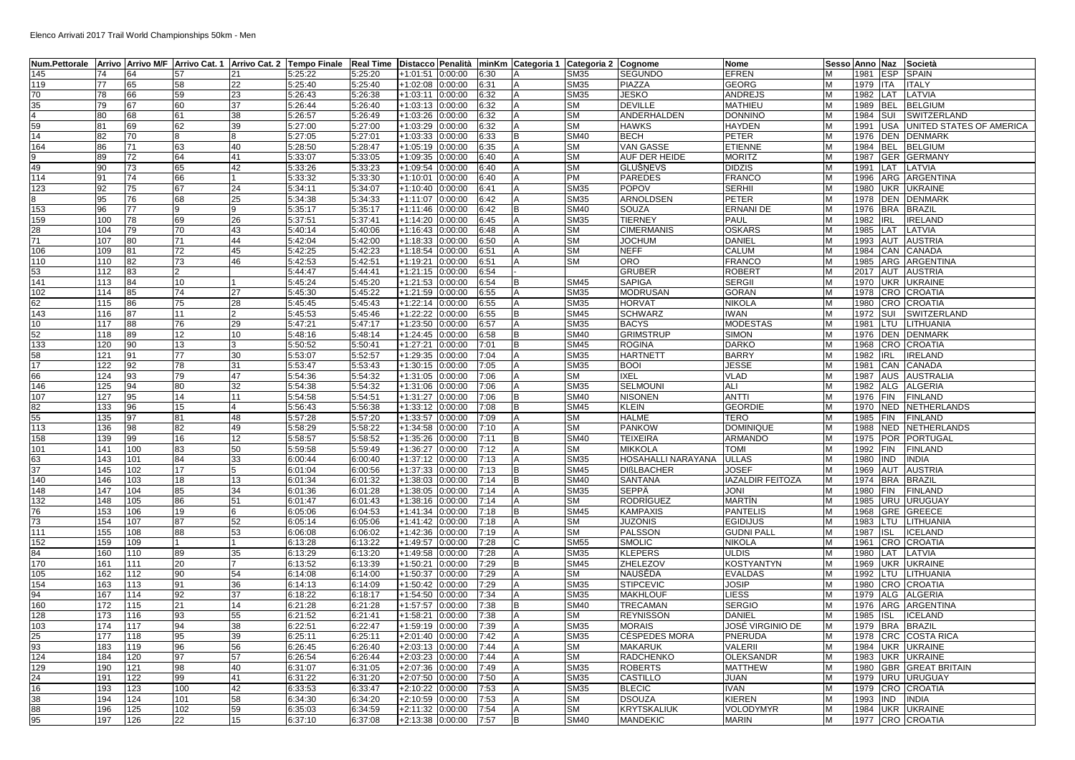| Num.Pettorale   Arrivo   Arrivo M/F   Arrivo Cat. 1   Arrivo Cat. 2   Tempo Finale   Real Time |            |     |          |                |         |         |                        |         |      |   | Distacco Penalità   minKm   Categoria 1   Categoria 2   Cognome |                      | Nome                    |   | Sesso Anno Naz |            | Società                  |
|------------------------------------------------------------------------------------------------|------------|-----|----------|----------------|---------|---------|------------------------|---------|------|---|-----------------------------------------------------------------|----------------------|-------------------------|---|----------------|------------|--------------------------|
| 145                                                                                            | 74         | 64  | 57       | 21             | 5:25:22 | 5:25:20 | +1:01:51               | 0:00:00 | 6:30 |   | SM35                                                            | <b>SEGUNDO</b>       | EFREN                   | M | 1981           | <b>ESP</b> | SPAIN                    |
| 119                                                                                            | 77         | 65  | 58       | 22             | 5:25:40 | 5:25:40 | +1:02:08               | 0:00:00 | 6:31 |   | <b>SM35</b>                                                     | <b>PIAZZA</b>        | <b>GEORG</b>            | M | 1979           | <b>ITA</b> | ITALY                    |
| 70                                                                                             | 78         | 66  | 59       | 23             | 5:26:43 | 5:26:38 | +1:03:11               | 0:00:00 | 6:32 |   | SM35                                                            | <b>JESKO</b>         | ANDREJS                 | M | 1982           | LAT        | LATVIA                   |
| 35                                                                                             | 79         | 67  | 60       | 37             | 5:26:44 | 5:26:40 | $+1:03:13$             | 0:00:00 | 6:32 |   | SМ                                                              | <b>DEVILLE</b>       | MATHIEU                 | M | 1989           | <b>BEL</b> | <b>BELGIUM</b>           |
| $\overline{4}$                                                                                 | 80         | 68  | 61       | 38             | 5:26:57 | 5:26:49 | +1:03:26               | 0:00:00 | 6:32 |   | SM                                                              | ANDERHALDEN          | DONNINO                 | M | 1984           | SUI        | SWITZERLAND              |
| 59                                                                                             | 81         | 69  | 62       | 39             | 5:27:00 | 5:27:00 | +1:03:29               | 00:00:0 | 6:32 |   | SМ                                                              | <b>HAWKS</b>         | HAYDEN                  | M | 1991           | USA        | UNITED STATES OF AMERICA |
| 14                                                                                             | 82         | 70  | <b>R</b> |                | 5:27:05 | 5:27:01 | +1:03:33               | 0:00:00 | 6:33 |   | SM40                                                            | <b>BECH</b>          | PETER                   | M | 1976           | <b>DEN</b> | <b>DENMARK</b>           |
| 164                                                                                            | 86         | 71  | 63       | 40             | 5:28:50 | 5:28:47 | +1:05:19               | 0:00:00 | 6:35 |   | <b>SM</b>                                                       | <b>VAN GASSE</b>     | <b>ETIENNE</b>          | M | 1984           | <b>BEL</b> | <b>BELGIUM</b>           |
| 9                                                                                              | 89         | 72  | 64       | 41             | 5:33:07 | 5:33:05 | +1:09:35               | 0:00:00 | 6:40 |   | SM                                                              | <b>AUF DER HEIDE</b> | <b>MORITZ</b>           | M | 1987           | <b>GER</b> | <b>GERMANY</b>           |
| 49                                                                                             | 90         | 73  | 65       | 42             | 5:33:26 | 5:33:23 | +1:09:54               | 0:00:00 | 6:40 |   | SM                                                              | <b>GLUŠNEVS</b>      | <b>DIDZIS</b>           | M | 1991           | LAT        | LATVIA                   |
| 114                                                                                            | 91         | 74  | 66       |                | 5:33:32 | 5:33:30 | +1:10:01               | 0:00:00 | 6:40 |   | РM                                                              | <b>PAREDES</b>       | <b>FRANCO</b>           | M | 1996           |            | ARG ARGENTINA            |
| 123                                                                                            | 92         | 75  | 67       | 24             | 5:34:11 | 5:34:07 | +1:10:40               | 0:00:00 | 6:41 |   | <b>SM35</b>                                                     | <b>POPOV</b>         | <b>SERHII</b>           | M | 1980           | <b>UKR</b> | <b>UKRAINE</b>           |
| 8                                                                                              | 95         | 76  | 68       | 25             | 5:34:38 | 5:34:33 | +1:11:07               | 0:00:00 | 6:42 |   | SM35                                                            | ARNOLDSEN            | PETER                   | M | 1978           | <b>DEN</b> | <b>DENMARK</b>           |
| 153                                                                                            | 96         | 77  | 9        | 9              | 5:35:17 | 5:35:17 | +1:11:46               | 0:00:00 | 6:42 | B | SM40                                                            | <b>SOUZA</b>         | ERNANI DE               | M | 1976           | <b>BRA</b> | <b>BRAZIL</b>            |
| 159                                                                                            | 100        | 78  | 69       | 26             | 5:37:51 | 5:37:41 | +1:14:20               | 0:00:00 | 6:45 |   | <b>SM35</b>                                                     | <b>TIERNEY</b>       | PAUL                    | M | 1982           | <b>IRL</b> | <b>IRELAND</b>           |
| 28                                                                                             | 104        | 79  | 70       | 43             | 5:40:14 | 5:40:06 | $+1:16:43$             | 0:00:00 | 6:48 |   | SМ                                                              | <b>CIMERMANIS</b>    | <b>OSKARS</b>           | M | 1985           | LAT        | LATVIA                   |
| 71                                                                                             | 107        | 80  | 71       | 44             | 5:42:04 | 5:42:00 | +1:18:33               | 0:00:00 | 6:50 |   | SM                                                              | <b>JOCHUM</b>        | DANIEL                  | M | 1993           | AUT        | <b>AUSTRIA</b>           |
| 106                                                                                            | 109        | 81  | 72       | 45             | 5:42:25 | 5:42:23 | +1:18:54               | 0:00:00 | 6:51 |   | SM                                                              | <b>NEFF</b>          | CALUM                   | M | 1984           | CAN        | CANADA                   |
| 110                                                                                            | 110        | 82  | 73       | 46             | 5:42:53 | 5:42:51 | +1:19:21               | 0:00:00 | 6:51 |   | SM                                                              | <b>ORO</b>           | <b>FRANCO</b>           | M | 1985           | ARG        | ARGENTINA                |
| 53                                                                                             |            | 83  |          |                | 5:44:47 | 5:44:41 |                        | 0:00:00 | 6:54 |   |                                                                 | <b>GRUBER</b>        | <b>ROBERT</b>           | M |                |            |                          |
| 141                                                                                            | 112<br>113 |     | 10       |                |         |         | +1:21:15               |         |      |   |                                                                 | <b>SAPIGA</b>        |                         | M | 2017<br>1970   |            | AUT AUSTRIA              |
|                                                                                                |            | 84  |          |                | 5:45:24 | 5:45:20 | +1:21:53               | 0:00:00 | 6:54 |   | SM45                                                            |                      | <b>SERGII</b>           |   |                | <b>UKR</b> | <b>UKRAINE</b>           |
| 102                                                                                            | 114        | 85  | 74       | 27             | 5:45:30 | 5:45:22 | +1:21:59               | 0:00:00 | 6:55 |   | SM35                                                            | <b>MODRUSAN</b>      | GORAN                   | M | 1978           |            | CRO CROATIA              |
| 62                                                                                             | 115        | 86  | 75       | 28             | 5:45:45 | 5:45:43 | +1:22:14               | 0:00:00 | 6:55 |   | SM35                                                            | <b>HORVAT</b>        | NIKOLA                  | M | 1980           | CRO        | <b>CROATIA</b>           |
| 143                                                                                            | 116        | 87  | 11       | $\overline{2}$ | 5:45:53 | 5:45:46 | +1:22:22               | 00:00:0 | 6:55 |   | SM45                                                            | <b>SCHWARZ</b>       | IWAN                    | M | 1972           | SUI        | SWITZERLAND              |
| 10                                                                                             | 117        | 88  | 76       | <b>29</b>      | 5:47:21 | 5:47:17 | $+1:23:50$             | 0:00:00 | 6:57 |   | SM35                                                            | <b>BACYS</b>         | <b>MODESTAS</b>         | M | 1981           | LTU        | LITHUANIA                |
| 52                                                                                             | 118        | 89  | 12       | 10             | 5:48:16 | 5:48:14 | +1:24:45               | 0:00:00 | 6:58 | B | SM40                                                            | <b>GRIMSTRUP</b>     | SIMON                   | M | 1976           | <b>DEN</b> | <b>DENMARK</b>           |
| 133                                                                                            | 120        | 90  | 13       |                | 5:50:52 | 5:50:41 | +1:27:21               | 0:00:00 | 7:01 | R | <b>SM45</b>                                                     | <b>ROGINA</b>        | <b>DARKO</b>            | M | 1968           | CRO        | <b>CROATIA</b>           |
| 58                                                                                             | 121        | 91  | 77       | 30             | 5:53:07 | 5:52:57 | +1:29:35               | 0:00:00 | 7:04 |   | SM35                                                            | <b>HARTNETT</b>      | <b>BARRY</b>            | M | 1982           | <b>IRL</b> | <b>IRELAND</b>           |
| 17                                                                                             | 122        | 92  | 78       | 31             | 5:53:47 | 5:53:43 | +1:30:15               | 0:00:00 | 7:05 |   | <b>SM35</b>                                                     | <b>BOOI</b>          | <b>JESSE</b>            | M | 1981           | CAN        | CANADA                   |
| 66                                                                                             | 124        | 93  | 79       | 47             | 5:54:36 | 5:54:32 | $\overline{+1}$ :31:05 | 0:00:00 | 7:06 |   | SМ                                                              | <b>IXEL</b>          | <b>VLAD</b>             | M | 1987           | AUS        | <b>AUSTRALIA</b>         |
| 146                                                                                            | 125        | 94  | 80       | 32             | 5:54:38 | 5:54:32 | +1:31:06               | 0:00:00 | 7:06 |   | SM35                                                            | <b>SELMOUNI</b>      | ALI                     | M | 1982           | ALG        | <b>ALGERIA</b>           |
| 107                                                                                            | 127        | 95  | 14       | 11             | 5:54:58 | 5:54:51 | +1:31:27               | 0:00:00 | 7:06 | B | SM40                                                            | <b>NISONEN</b>       | ANTTI                   | M | 1976           | <b>FIN</b> | <b>FINLAND</b>           |
| 82                                                                                             | 133        | 96  | 15       |                | 5:56:43 | 5:56:38 | +1:33:12               | 0:00:00 | 7:08 | B | <b>SM45</b>                                                     | <b>KLEIN</b>         | <b>GEORDIE</b>          | M |                |            | 1970 NED NETHERLANDS     |
| 55                                                                                             | 135        | 97  | 81       | 48             | 5:57:28 | 5:57:20 | +1:33:57               | 0:00:00 | 7:09 |   | SМ                                                              | <b>HALME</b>         | TERO                    | M | 1985           | <b>FIN</b> | <b>FINLAND</b>           |
| 113                                                                                            | 136        | 98  | 82       | 49             | 5:58:29 | 5:58:22 | +1:34:58               | 0:00:00 | 7:10 |   | SМ                                                              | <b>PANKOW</b>        | <b>DOMINIQUE</b>        | M | 1988           |            | NED NETHERLANDS          |
| 158                                                                                            | 139        | 99  | 16       | 12             | 5:58:57 | 5:58:52 | +1:35:26               | 00:00:0 | 7:11 |   | SM40                                                            | <b>TEIXEIRA</b>      | ARMANDO                 | M | 1975           | <b>POR</b> | PORTUGAL                 |
| 101                                                                                            | 141        | 100 | 83       | 50             | 5:59:58 | 5:59:49 | +1:36:27               | 0:00:00 | 7:12 |   | SМ                                                              | <b>MIKKOLA</b>       | <b>TOMI</b>             | M | 1992           | <b>FIN</b> | <b>FINLAND</b>           |
| 63                                                                                             | 143        | 101 | 84       | 33             | 6:00:44 | 6:00:40 | +1:37:12               | 0:00:00 | 7:13 |   | <b>SM35</b>                                                     | HOSAHALLI NARAYANA   | <b>ULLAS</b>            | M | 1980           | <b>IND</b> | <b>INDIA</b>             |
| 37                                                                                             | 145        | 102 | 17       | 5              | 6:01:04 | 6:00:56 | +1:37:33               | 0:00:00 | 7:13 |   | <b>SM45</b>                                                     | <b>DISLBACHER</b>    | <b>JOSEF</b>            | M | 1969           | AUT        | <b>AUSTRIA</b>           |
| 140                                                                                            | 146        | 103 | 18       | 13             | 6:01:34 | 6:01:32 | +1:38:03               | 0:00:00 | 7:14 |   | SM40                                                            | <b>SANTANA</b>       | <b>IAZALDIR FEITOZA</b> | M | 1974           | <b>BRA</b> | <b>BRAZIL</b>            |
| 148                                                                                            | 147        | 104 | 85       | 34             | 6:01:36 | 6:01:28 | +1:38:05               | 0:00:00 | 7:14 |   | SM35                                                            | <b>SEPPÄ</b>         | JONI                    | M | 1980           | <b>FIN</b> | <b>FINLAND</b>           |
| 132                                                                                            | 148        | 105 | 86       | 51             | 6:01:47 | 6:01:43 | +1:38:16               | 0:00:00 | 7:14 |   | SМ                                                              | RODRÍGUEZ            | MARTÍN                  | M | 1985           | <b>URU</b> | <b>URUGUAY</b>           |
| 76                                                                                             | 153        | 106 | 19       | 6              | 6:05:06 | 6:04:53 | +1:41:34               | 0:00:00 | 7:18 | в | SM45                                                            | <b>KAMPAXIS</b>      | PANTELIS                | M | 1968           | <b>GRE</b> | <b>GREECE</b>            |
| 73                                                                                             | 154        | 107 | 87       | 52             | 6:05:14 | 6:05:06 | $+1:41:42$             | 0:00:00 | 7:18 |   | SМ                                                              | <b>JUZONIS</b>       | <b>EGIDIJUS</b>         | M | 1983           | LTU        | LITHUANIA                |
| 111                                                                                            | 155        | 108 | 88       | 53             | 6:06:08 | 6:06:02 | +1:42:36               | 0:00:00 | 7:19 |   | SМ                                                              | <b>PALSSON</b>       | <b>GUDNI PALI</b>       | M | 1987           | <b>ISL</b> | <b>ICELAND</b>           |
| 152                                                                                            | 159        | 109 |          |                | 6:13:28 | 6:13:22 | +1:49:57               | 0:00:00 | 7:28 |   | <b>SM55</b>                                                     | <b>SMOLIC</b>        | NIKOLA                  | M | 1961           | CRO        | <b>CROATIA</b>           |
| 84                                                                                             | 160        | 110 | 89       | 35             | 6:13:29 | 6:13:20 | +1:49:58               | 0:00:00 | 7:28 |   | <b>SM35</b>                                                     | <b>KLEPERS</b>       | <b>ULDIS</b>            | M | 1980           | LAT        | LATVIA                   |
| 170                                                                                            | 161        | 111 | 20       |                | 6:13:52 | 6:13:39 | $\overline{+1}$ :50:21 | 0:00:00 | 7:29 |   | <b>SM45</b>                                                     | ZHELEZO\             | <b>KOSTYANTYN</b>       | M | 1969           | <b>UKR</b> | <b>UKRAINE</b>           |
| 105                                                                                            | 162        | 112 | 90       | 54             | 6:14:08 | 6:14:00 | +1:50:37               | 0:00:00 | 7:29 |   | SМ                                                              | NAUSEDA              | <b>EVALDAS</b>          | M | 1992           | LTU        | LITHUANIA                |
| 154                                                                                            | 163        | 113 | 91       | 36             | 6:14:13 | 6:14:09 | +1:50:42               | 0:00:00 | 7:29 |   | SM35                                                            | <b>STIPCEVIC</b>     | JOSIP                   | M | 1980           | CRO        | <b>CROATIA</b>           |
| 94                                                                                             | 167        | 114 | 92       | 37             | 6:18:22 | 6:18:17 | +1:54:50               | 0:00:00 | 7:34 |   | SM35                                                            | <b>MAKHLOUF</b>      | LIESS                   | M | 1979           |            | ALG ALGERIA              |
| 160                                                                                            | 172        | 115 | 21       | 14             | 6:21:28 | 6:21:28 | +1:57:57               | 0:00:00 | 7:38 |   | SM40                                                            | <b>TRECAMAN</b>      | SERGIO                  | M | 1976           |            | ARG ARGENTINA            |
| 128                                                                                            | 173        | 116 | 93       | 55             | 6:21:52 | 6:21:41 | +1:58:21               | 0:00:00 | 7:38 |   | SМ                                                              | <b>REYNISSON</b>     | DANIEL                  | M | 1985           | <b>ISL</b> | <b>ICELAND</b>           |
| 103                                                                                            | 174        | 117 | 94       | 38             | 6:22:51 | 6:22:47 | +1:59:19               | 0:00:00 | 7:39 |   | SM35                                                            | <b>MORAIS</b>        | JOSÉ VIRGINIO DE        | M | 1979           | <b>BRA</b> | <b>BRAZIL</b>            |
| 25                                                                                             | 177        | 118 | 95       | 39             | 6:25:11 | 6:25:11 | $+2:01:40$             | 0:00:00 | 7:42 |   | SM35                                                            | <b>CÉSPEDES MORA</b> | PNERUDA                 | M | 1978           | CRC        | <b>COSTA RICA</b>        |
| 93                                                                                             | 183        | 119 | 96       | 56             | 6:26:45 | 6:26:40 | +2:03:13               | 0:00:00 | 7:44 |   | SM                                                              | <b>MAKARUK</b>       | VALERII                 | M | 1984           | <b>UKR</b> | <b>UKRAINE</b>           |
| 124                                                                                            | 184        | 120 | 97       | 57             | 6:26:54 | 6:26:44 | +2:03:23               | 0:00:00 | 7:44 |   | SМ                                                              | <b>RADCHENKO</b>     | OLEKSANDR               | м | 1983           | <b>UKR</b> | <b>UKRAINE</b>           |
| 129                                                                                            | 190        | 121 | 98       | 40             | 6:31:07 | 6:31:05 | +2:07:36               | 0:00:00 | 7:49 |   | SM35                                                            | <b>ROBERTS</b>       | MATTHEW                 | M | 1980           | <b>GBR</b> | <b>GREAT BRITAIN</b>     |
| 24                                                                                             | 191        | 122 | 99       | 41             | 6:31:22 | 6:31:20 |                        | 0:00:00 | 7:50 |   | SM35                                                            | <b>CASTILLO</b>      | JUAN                    | M | 1979           | URU        | <b>URUGUAY</b>           |
| 16                                                                                             | 193        | 123 | 100      | 42             | 6:33:53 | 6:33:47 | +2:07:50<br>+2:10:22   | 0:00:00 | 7:53 |   | SM35                                                            | <b>BLECIC</b>        | <b>IVAN</b>             | M | 1979           | CRO        | <b>CROATIA</b>           |
|                                                                                                | 194        |     | 101      |                |         |         |                        |         |      |   |                                                                 |                      |                         | M | 1993           |            |                          |
| 38                                                                                             |            | 124 |          | 58             | 6:34:30 | 6:34:20 | +2:10:59               | 0:00:00 | 7:53 |   | SМ                                                              | <b>DSOUZA</b>        | KIEREN                  |   |                | <b>IND</b> | <b>INDIA</b>             |
| 88                                                                                             | 196        | 125 | 102      | 59             | 6:35:03 | 6:34:59 | +2:11:32               | 0:00:00 | 7:54 |   | SМ                                                              | <b>KRYTSKALIUK</b>   | VOLODYMYR               | M | 1984           | <b>UKR</b> | <b>UKRAINE</b>           |
| 95                                                                                             | 197        | 126 | 22       | 15             | 6:37:10 | 6:37:08 | +2:13:38 0:00:00       |         | 7:57 | B | SM40                                                            | <b>MANDEKIC</b>      | <b>MARIN</b>            | M | 1977           |            | <b>CRO CROATIA</b>       |